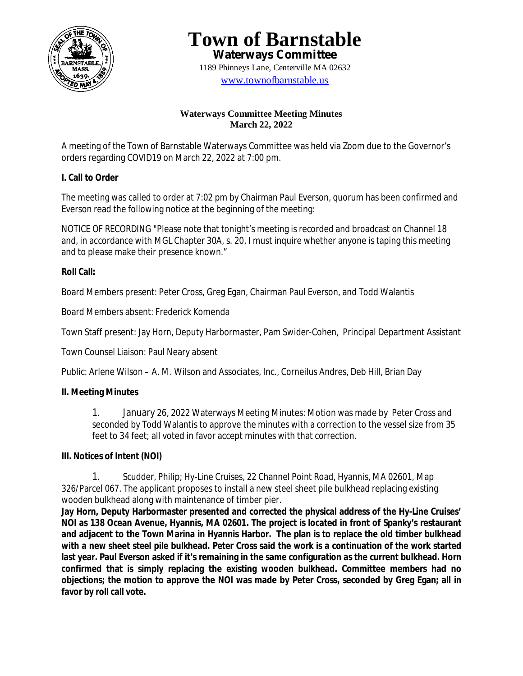

**Town of Barnstable Waterways Committee**

1189 Phinneys Lane, Centerville MA 02632 www.townofbarnstable.us

### **Waterways Committee Meeting Minutes March 22, 2022**

A meeting of the Town of Barnstable Waterways Committee was held via Zoom due to the Governor's orders regarding COVID19 on March 22, 2022 at 7:00 pm.

## **I. Call to Order**

The meeting was called to order at 7:02 pm by Chairman Paul Everson, quorum has been confirmed and Everson read the following notice at the beginning of the meeting:

NOTICE OF RECORDING "Please note that tonight's meeting is recorded and broadcast on Channel 18 and, in accordance with MGL Chapter 30A, s. 20, I must inquire whether anyone is taping this meeting and to please make their presence known."

# **Roll Call:**

Board Members present: Peter Cross, Greg Egan, Chairman Paul Everson, and Todd Walantis

Board Members absent: Frederick Komenda

Town Staff present: Jay Horn, Deputy Harbormaster, Pam Swider-Cohen, Principal Department Assistant

Town Counsel Liaison: Paul Neary absent

Public: Arlene Wilson – A. M. Wilson and Associates, Inc., Corneilus Andres, Deb Hill, Brian Day

# **II. Meeting Minutes**

1. January 26, 2022 Waterways Meeting Minutes: Motion was made by Peter Cross and seconded by Todd Walantis to approve the minutes with a correction to the vessel size from 35 feet to 34 feet; all voted in favor accept minutes with that correction.

## **III. Notices of Intent (NOI)**

1. Scudder, Philip; Hy-Line Cruises, 22 Channel Point Road, Hyannis, MA 02601, Map 326/Parcel 067. The applicant proposes to install a new steel sheet pile bulkhead replacing existing wooden bulkhead along with maintenance of timber pier.

**Jay Horn, Deputy Harbormaster presented and corrected the physical address of the Hy-Line Cruises' NOI as 138 Ocean Avenue, Hyannis, MA 02601. The project is located in front of Spanky's restaurant and adjacent to the Town Marina in Hyannis Harbor. The plan is to replace the old timber bulkhead with a new sheet steel pile bulkhead. Peter Cross said the work is a continuation of the work started last year. Paul Everson asked if it's remaining in the same configuration as the current bulkhead. Horn confirmed that is simply replacing the existing wooden bulkhead. Committee members had no objections; the motion to approve the NOI was made by Peter Cross, seconded by Greg Egan; all in favor by roll call vote.**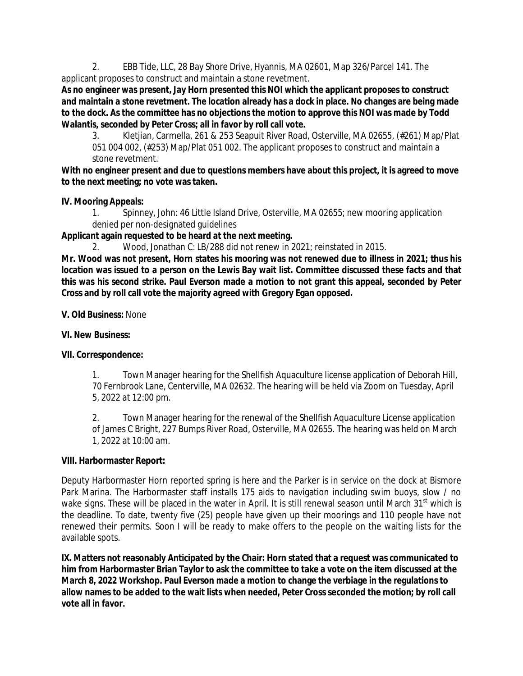2. EBB Tide, LLC, 28 Bay Shore Drive, Hyannis, MA 02601, Map 326/Parcel 141. The applicant proposes to construct and maintain a stone revetment.

**As no engineer was present, Jay Horn presented this NOI which the applicant proposes to construct and maintain a stone revetment. The location already has a dock in place. No changes are being made to the dock. As the committee has no objections the motion to approve this NOI was made by Todd Walantis, seconded by Peter Cross; all in favor by roll call vote.**

3. Kletjian, Carmella, 261 & 253 Seapuit River Road, Osterville, MA 02655, (#261) Map/Plat 051 004 002, (#253) Map/Plat 051 002. The applicant proposes to construct and maintain a stone revetment.

**With no engineer present and due to questions members have about this project, it is agreed to move to the next meeting; no vote was taken.**

### **IV. Mooring Appeals:**

1. Spinney, John: 46 Little Island Drive, Osterville, MA 02655; new mooring application denied per non-designated guidelines

**Applicant again requested to be heard at the next meeting.**

2. Wood, Jonathan C: LB/288 did not renew in 2021; reinstated in 2015.

**Mr. Wood was not present, Horn states his mooring was not renewed due to illness in 2021; thus his location was issued to a person on the Lewis Bay wait list. Committee discussed these facts and that this was his second strike. Paul Everson made a motion to not grant this appeal, seconded by Peter Cross and by roll call vote the majority agreed with Gregory Egan opposed.**

#### **V. Old Business:** None

### **VI. New Business:**

## **VII. Correspondence:**

1. Town Manager hearing for the Shellfish Aquaculture license application of Deborah Hill, 70 Fernbrook Lane, Centerville, MA 02632. The hearing will be held via Zoom on Tuesday, April 5, 2022 at 12:00 pm.

2. Town Manager hearing for the renewal of the Shellfish Aquaculture License application of James C Bright, 227 Bumps River Road, Osterville, MA 02655. The hearing was held on March 1, 2022 at 10:00 am.

#### **VIII. Harbormaster Report:**

Deputy Harbormaster Horn reported spring is here and the Parker is in service on the dock at Bismore Park Marina. The Harbormaster staff installs 175 aids to navigation including swim buoys, slow / no wake signs. These will be placed in the water in April. It is still renewal season until March 31<sup>st</sup> which is the deadline. To date, twenty five (25) people have given up their moorings and 110 people have not renewed their permits. Soon I will be ready to make offers to the people on the waiting lists for the available spots.

**IX. Matters not reasonably Anticipated by the Chair: Horn stated that a request was communicated to him from Harbormaster Brian Taylor to ask the committee to take a vote on the item discussed at the March 8, 2022 Workshop. Paul Everson made a motion to change the verbiage in the regulations to allow names to be added to the wait lists when needed, Peter Cross seconded the motion; by roll call vote all in favor.**